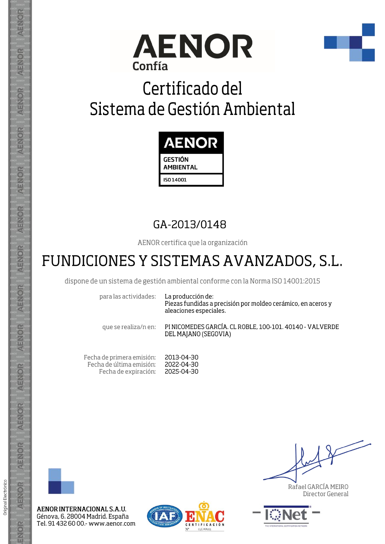



## Certificado del Sistema de Gestión Ambiental



### GA-2013/0148

AENOR certifica que la organización

## FUNDICIONES Y SISTEMAS AVANZADOS, S.L.

dispone de un sistema de gestión ambiental conforme con la Norma ISO 14001:2015

para las actividades:

La producción de: Piezas fundidas a precisión por moldeo cerámico, en aceros y aleaciones especiales.

que se realiza/n en:

PINICOMEDES GARCÍA, CL ROBLE, 100-101, 40140 - VALVERDE DEL MAJANO (SEGOVIA)

Fecha de primera emisión: 2013-04-30 Fecha de última emisión: 2022-04-30 Fecha de expiración: 2025-04-30



AENOR

ENOR

ENOR

**AENOR** 

AENOR

AENOR

**AENOR** 

AENOR

AENOR

AENOR

AENOR

AENOR

AENOR

ENOR

Original Electrónico

AENOR INTERNACIONAL S.A.U. Génova, 6. 28004 Madrid. España Tel. 91 432 60 00 - www.aenor.com



Rafael GARCÍA MEIRO Director General